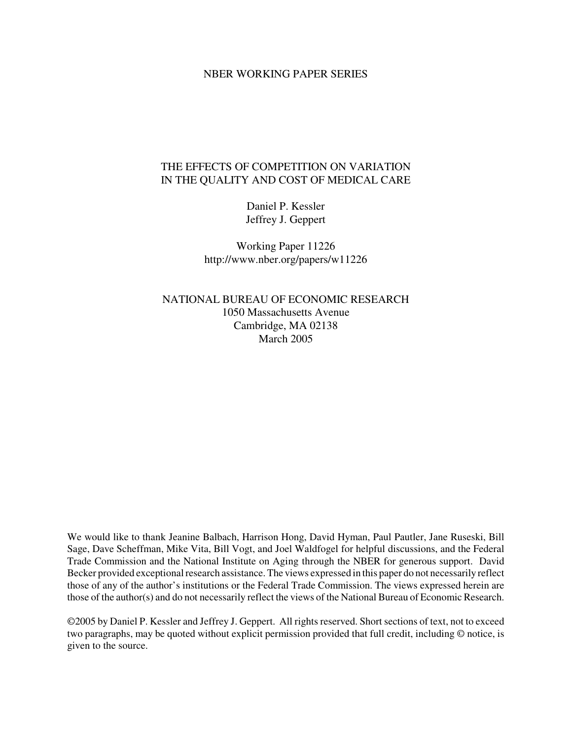#### NBER WORKING PAPER SERIES

## THE EFFECTS OF COMPETITION ON VARIATION IN THE QUALITY AND COST OF MEDICAL CARE

Daniel P. Kessler Jeffrey J. Geppert

Working Paper 11226 http://www.nber.org/papers/w11226

NATIONAL BUREAU OF ECONOMIC RESEARCH 1050 Massachusetts Avenue Cambridge, MA 02138 March 2005

We would like to thank Jeanine Balbach, Harrison Hong, David Hyman, Paul Pautler, Jane Ruseski, Bill Sage, Dave Scheffman, Mike Vita, Bill Vogt, and Joel Waldfogel for helpful discussions, and the Federal Trade Commission and the National Institute on Aging through the NBER for generous support. David Becker provided exceptional research assistance. The views expressed in this paper do not necessarily reflect those of any of the author's institutions or the Federal Trade Commission. The views expressed herein are those of the author(s) and do not necessarily reflect the views of the National Bureau of Economic Research.

©2005 by Daniel P. Kessler and Jeffrey J. Geppert. All rights reserved. Short sections of text, not to exceed two paragraphs, may be quoted without explicit permission provided that full credit, including © notice, is given to the source.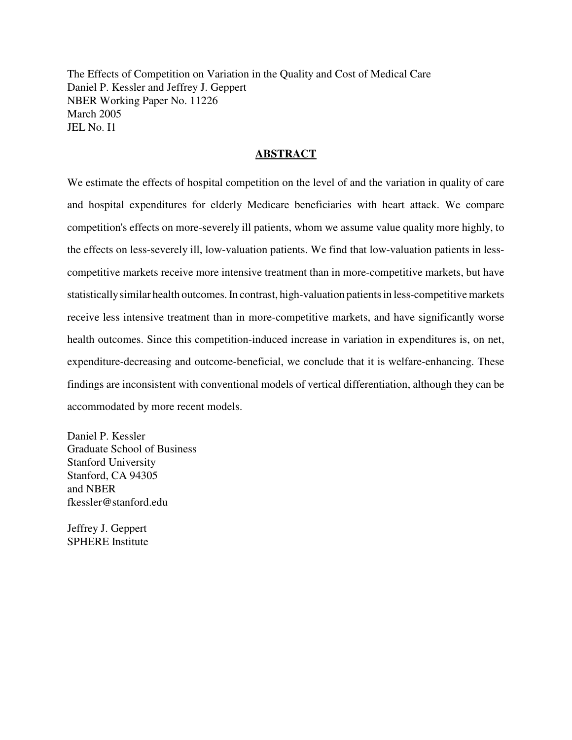The Effects of Competition on Variation in the Quality and Cost of Medical Care Daniel P. Kessler and Jeffrey J. Geppert NBER Working Paper No. 11226 March 2005 JEL No. I1

## **ABSTRACT**

We estimate the effects of hospital competition on the level of and the variation in quality of care and hospital expenditures for elderly Medicare beneficiaries with heart attack. We compare competition's effects on more-severely ill patients, whom we assume value quality more highly, to the effects on less-severely ill, low-valuation patients. We find that low-valuation patients in lesscompetitive markets receive more intensive treatment than in more-competitive markets, but have statistically similar health outcomes. In contrast, high-valuation patients in less-competitive markets receive less intensive treatment than in more-competitive markets, and have significantly worse health outcomes. Since this competition-induced increase in variation in expenditures is, on net, expenditure-decreasing and outcome-beneficial, we conclude that it is welfare-enhancing. These findings are inconsistent with conventional models of vertical differentiation, although they can be accommodated by more recent models.

Daniel P. Kessler Graduate School of Business Stanford University Stanford, CA 94305 and NBER fkessler@stanford.edu

Jeffrey J. Geppert SPHERE Institute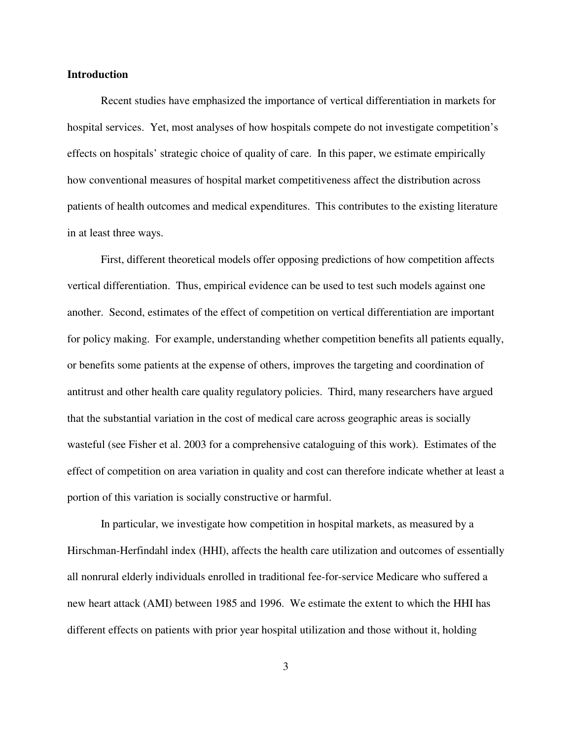#### **Introduction**

Recent studies have emphasized the importance of vertical differentiation in markets for hospital services. Yet, most analyses of how hospitals compete do not investigate competition's effects on hospitals' strategic choice of quality of care. In this paper, we estimate empirically how conventional measures of hospital market competitiveness affect the distribution across patients of health outcomes and medical expenditures. This contributes to the existing literature in at least three ways.

First, different theoretical models offer opposing predictions of how competition affects vertical differentiation. Thus, empirical evidence can be used to test such models against one another. Second, estimates of the effect of competition on vertical differentiation are important for policy making. For example, understanding whether competition benefits all patients equally, or benefits some patients at the expense of others, improves the targeting and coordination of antitrust and other health care quality regulatory policies. Third, many researchers have argued that the substantial variation in the cost of medical care across geographic areas is socially wasteful (see Fisher et al. 2003 for a comprehensive cataloguing of this work). Estimates of the effect of competition on area variation in quality and cost can therefore indicate whether at least a portion of this variation is socially constructive or harmful.

In particular, we investigate how competition in hospital markets, as measured by a Hirschman-Herfindahl index (HHI), affects the health care utilization and outcomes of essentially all nonrural elderly individuals enrolled in traditional fee-for-service Medicare who suffered a new heart attack (AMI) between 1985 and 1996. We estimate the extent to which the HHI has different effects on patients with prior year hospital utilization and those without it, holding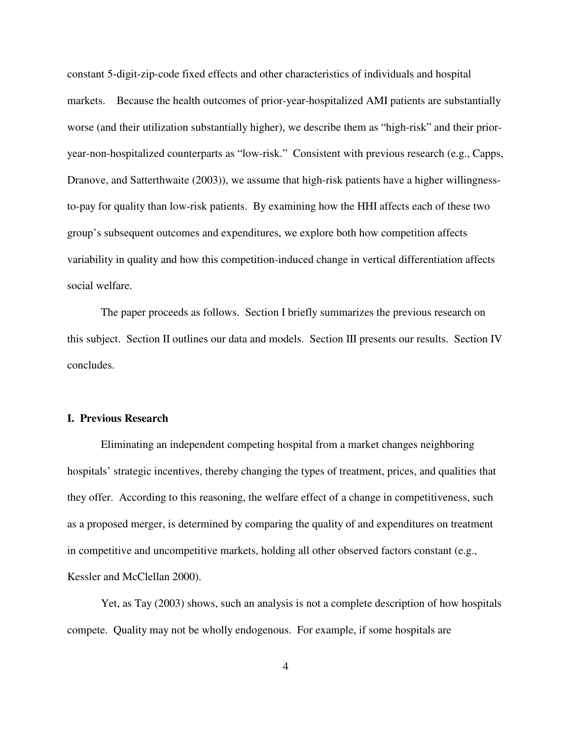constant 5-digit-zip-code fixed effects and other characteristics of individuals and hospital markets. Because the health outcomes of prior-year-hospitalized AMI patients are substantially worse (and their utilization substantially higher), we describe them as "high-risk" and their prioryear-non-hospitalized counterparts as "low-risk." Consistent with previous research (e.g., Capps, Dranove, and Satterthwaite (2003)), we assume that high-risk patients have a higher willingnessto-pay for quality than low-risk patients. By examining how the HHI affects each of these two group's subsequent outcomes and expenditures, we explore both how competition affects variability in quality and how this competition-induced change in vertical differentiation affects social welfare.

The paper proceeds as follows. Section I briefly summarizes the previous research on this subject. Section II outlines our data and models. Section III presents our results. Section IV concludes.

## **I. Previous Research**

Eliminating an independent competing hospital from a market changes neighboring hospitals' strategic incentives, thereby changing the types of treatment, prices, and qualities that they offer. According to this reasoning, the welfare effect of a change in competitiveness, such as a proposed merger, is determined by comparing the quality of and expenditures on treatment in competitive and uncompetitive markets, holding all other observed factors constant (e.g., Kessler and McClellan 2000).

Yet, as Tay (2003) shows, such an analysis is not a complete description of how hospitals compete. Quality may not be wholly endogenous. For example, if some hospitals are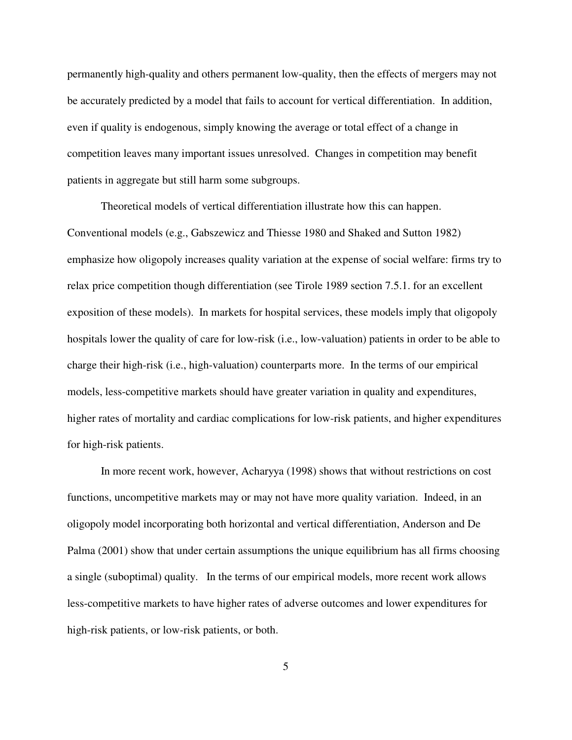permanently high-quality and others permanent low-quality, then the effects of mergers may not be accurately predicted by a model that fails to account for vertical differentiation. In addition, even if quality is endogenous, simply knowing the average or total effect of a change in competition leaves many important issues unresolved. Changes in competition may benefit patients in aggregate but still harm some subgroups.

Theoretical models of vertical differentiation illustrate how this can happen. Conventional models (e.g., Gabszewicz and Thiesse 1980 and Shaked and Sutton 1982) emphasize how oligopoly increases quality variation at the expense of social welfare: firms try to relax price competition though differentiation (see Tirole 1989 section 7.5.1. for an excellent exposition of these models). In markets for hospital services, these models imply that oligopoly hospitals lower the quality of care for low-risk (i.e., low-valuation) patients in order to be able to charge their high-risk (i.e., high-valuation) counterparts more. In the terms of our empirical models, less-competitive markets should have greater variation in quality and expenditures, higher rates of mortality and cardiac complications for low-risk patients, and higher expenditures for high-risk patients.

In more recent work, however, Acharyya (1998) shows that without restrictions on cost functions, uncompetitive markets may or may not have more quality variation. Indeed, in an oligopoly model incorporating both horizontal and vertical differentiation, Anderson and De Palma (2001) show that under certain assumptions the unique equilibrium has all firms choosing a single (suboptimal) quality. In the terms of our empirical models, more recent work allows less-competitive markets to have higher rates of adverse outcomes and lower expenditures for high-risk patients, or low-risk patients, or both.

5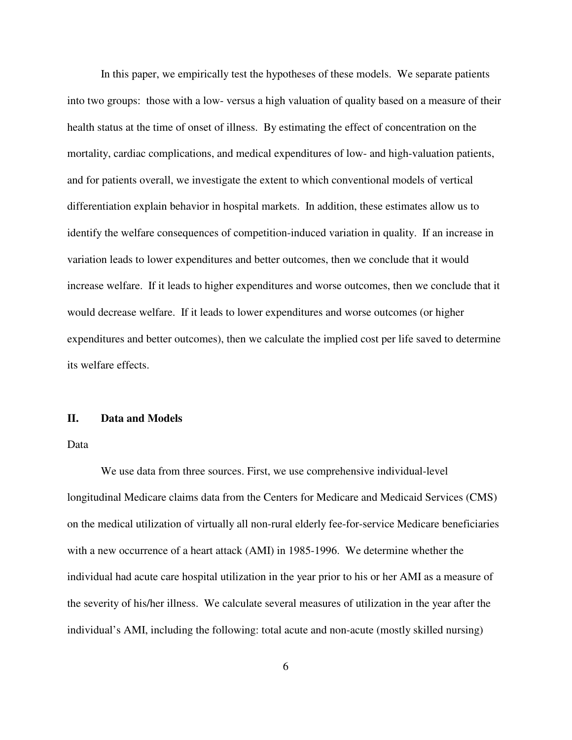In this paper, we empirically test the hypotheses of these models. We separate patients into two groups: those with a low- versus a high valuation of quality based on a measure of their health status at the time of onset of illness. By estimating the effect of concentration on the mortality, cardiac complications, and medical expenditures of low- and high-valuation patients, and for patients overall, we investigate the extent to which conventional models of vertical differentiation explain behavior in hospital markets. In addition, these estimates allow us to identify the welfare consequences of competition-induced variation in quality. If an increase in variation leads to lower expenditures and better outcomes, then we conclude that it would increase welfare. If it leads to higher expenditures and worse outcomes, then we conclude that it would decrease welfare. If it leads to lower expenditures and worse outcomes (or higher expenditures and better outcomes), then we calculate the implied cost per life saved to determine its welfare effects.

## **II. Data and Models**

Data

We use data from three sources. First, we use comprehensive individual-level longitudinal Medicare claims data from the Centers for Medicare and Medicaid Services (CMS) on the medical utilization of virtually all non-rural elderly fee-for-service Medicare beneficiaries with a new occurrence of a heart attack (AMI) in 1985-1996. We determine whether the individual had acute care hospital utilization in the year prior to his or her AMI as a measure of the severity of his/her illness. We calculate several measures of utilization in the year after the individual's AMI, including the following: total acute and non-acute (mostly skilled nursing)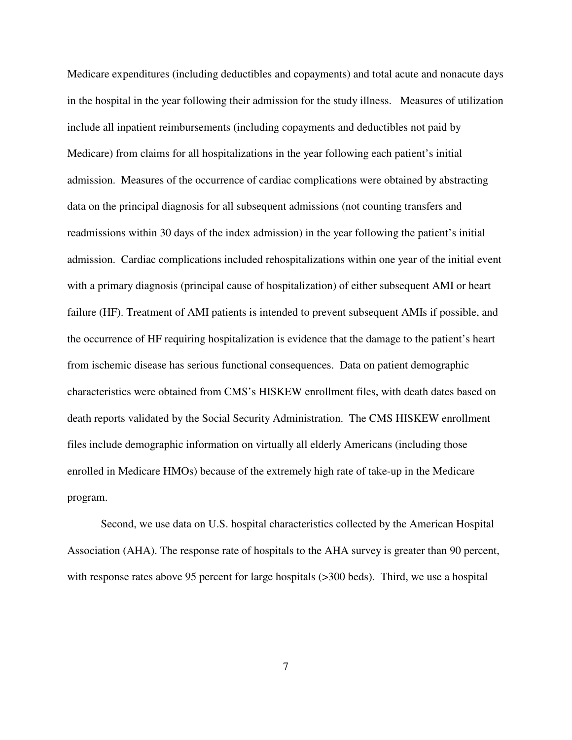Medicare expenditures (including deductibles and copayments) and total acute and nonacute days in the hospital in the year following their admission for the study illness. Measures of utilization include all inpatient reimbursements (including copayments and deductibles not paid by Medicare) from claims for all hospitalizations in the year following each patient's initial admission. Measures of the occurrence of cardiac complications were obtained by abstracting data on the principal diagnosis for all subsequent admissions (not counting transfers and readmissions within 30 days of the index admission) in the year following the patient's initial admission. Cardiac complications included rehospitalizations within one year of the initial event with a primary diagnosis (principal cause of hospitalization) of either subsequent AMI or heart failure (HF). Treatment of AMI patients is intended to prevent subsequent AMIs if possible, and the occurrence of HF requiring hospitalization is evidence that the damage to the patient's heart from ischemic disease has serious functional consequences. Data on patient demographic characteristics were obtained from CMS's HISKEW enrollment files, with death dates based on death reports validated by the Social Security Administration. The CMS HISKEW enrollment files include demographic information on virtually all elderly Americans (including those enrolled in Medicare HMOs) because of the extremely high rate of take-up in the Medicare program.

Second, we use data on U.S. hospital characteristics collected by the American Hospital Association (AHA). The response rate of hospitals to the AHA survey is greater than 90 percent, with response rates above 95 percent for large hospitals ( $>300$  beds). Third, we use a hospital

7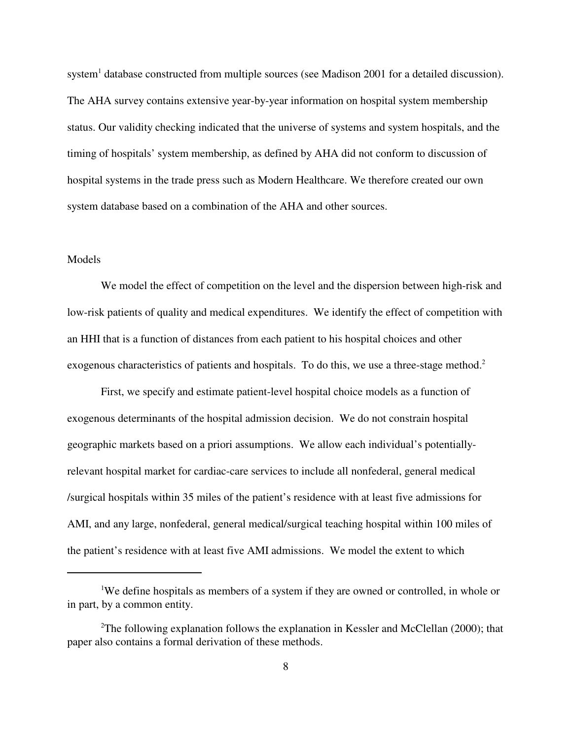system<sup>1</sup> database constructed from multiple sources (see Madison 2001 for a detailed discussion). The AHA survey contains extensive year-by-year information on hospital system membership status. Our validity checking indicated that the universe of systems and system hospitals, and the timing of hospitals' system membership, as defined by AHA did not conform to discussion of hospital systems in the trade press such as Modern Healthcare. We therefore created our own system database based on a combination of the AHA and other sources.

#### Models

We model the effect of competition on the level and the dispersion between high-risk and low-risk patients of quality and medical expenditures. We identify the effect of competition with an HHI that is a function of distances from each patient to his hospital choices and other exogenous characteristics of patients and hospitals. To do this, we use a three-stage method.<sup>2</sup>

First, we specify and estimate patient-level hospital choice models as a function of exogenous determinants of the hospital admission decision. We do not constrain hospital geographic markets based on a priori assumptions. We allow each individual's potentiallyrelevant hospital market for cardiac-care services to include all nonfederal, general medical /surgical hospitals within 35 miles of the patient's residence with at least five admissions for AMI, and any large, nonfederal, general medical/surgical teaching hospital within 100 miles of the patient's residence with at least five AMI admissions. We model the extent to which

<sup>&</sup>lt;sup>1</sup>We define hospitals as members of a system if they are owned or controlled, in whole or in part, by a common entity.

<sup>&</sup>lt;sup>2</sup>The following explanation follows the explanation in Kessler and McClellan (2000); that paper also contains a formal derivation of these methods.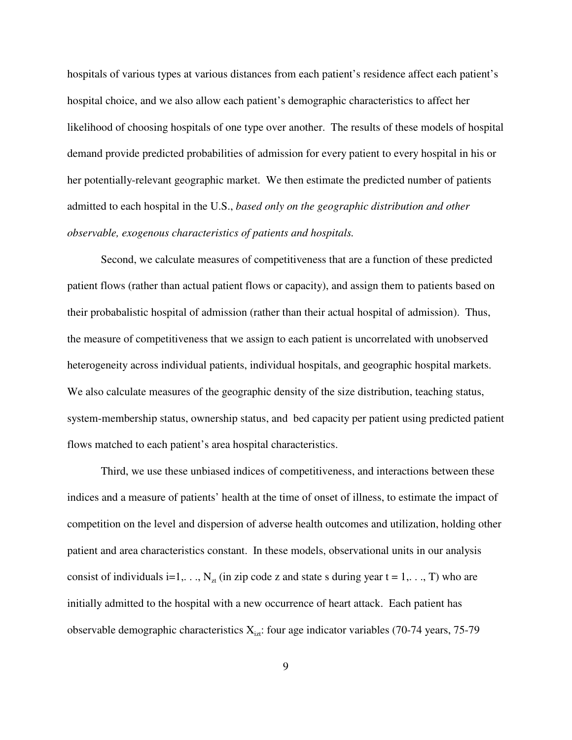hospitals of various types at various distances from each patient's residence affect each patient's hospital choice, and we also allow each patient's demographic characteristics to affect her likelihood of choosing hospitals of one type over another. The results of these models of hospital demand provide predicted probabilities of admission for every patient to every hospital in his or her potentially-relevant geographic market. We then estimate the predicted number of patients admitted to each hospital in the U.S., *based only on the geographic distribution and other observable, exogenous characteristics of patients and hospitals.*

Second, we calculate measures of competitiveness that are a function of these predicted patient flows (rather than actual patient flows or capacity), and assign them to patients based on their probabalistic hospital of admission (rather than their actual hospital of admission). Thus, the measure of competitiveness that we assign to each patient is uncorrelated with unobserved heterogeneity across individual patients, individual hospitals, and geographic hospital markets. We also calculate measures of the geographic density of the size distribution, teaching status, system-membership status, ownership status, and bed capacity per patient using predicted patient flows matched to each patient's area hospital characteristics.

Third, we use these unbiased indices of competitiveness, and interactions between these indices and a measure of patients' health at the time of onset of illness, to estimate the impact of competition on the level and dispersion of adverse health outcomes and utilization, holding other patient and area characteristics constant. In these models, observational units in our analysis consist of individuals i=1,...,  $N_{zt}$  (in zip code z and state s during year t = 1,..., T) who are initially admitted to the hospital with a new occurrence of heart attack. Each patient has observable demographic characteristics  $X_{\text{int}}$ : four age indicator variables (70-74 years, 75-79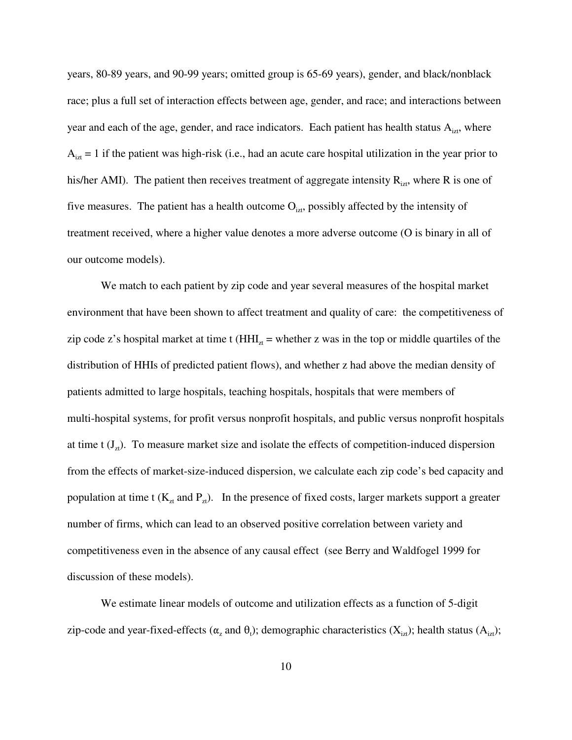years, 80-89 years, and 90-99 years; omitted group is 65-69 years), gender, and black/nonblack race; plus a full set of interaction effects between age, gender, and race; and interactions between year and each of the age, gender, and race indicators. Each patient has health status  $A_{iz}$ , where  $A_{izt} = 1$  if the patient was high-risk (i.e., had an acute care hospital utilization in the year prior to his/her AMI). The patient then receives treatment of aggregate intensity  $R_{izt}$ , where R is one of five measures. The patient has a health outcome  $O_{iz}$ , possibly affected by the intensity of treatment received, where a higher value denotes a more adverse outcome (O is binary in all of our outcome models).

We match to each patient by zip code and year several measures of the hospital market environment that have been shown to affect treatment and quality of care: the competitiveness of zip code z's hospital market at time t ( $HHI_{\tau}$  = whether z was in the top or middle quartiles of the distribution of HHIs of predicted patient flows), and whether z had above the median density of patients admitted to large hospitals, teaching hospitals, hospitals that were members of multi-hospital systems, for profit versus nonprofit hospitals, and public versus nonprofit hospitals at time t  $(J_{zt})$ . To measure market size and isolate the effects of competition-induced dispersion from the effects of market-size-induced dispersion, we calculate each zip code's bed capacity and population at time t ( $K_{zt}$  and  $P_{zt}$ ). In the presence of fixed costs, larger markets support a greater number of firms, which can lead to an observed positive correlation between variety and competitiveness even in the absence of any causal effect (see Berry and Waldfogel 1999 for discussion of these models).

We estimate linear models of outcome and utilization effects as a function of 5-digit zip-code and year-fixed-effects ( $\alpha_z$  and  $\theta_t$ ); demographic characteristics ( $X_{iz}$ ); health status ( $A_{iz}$ );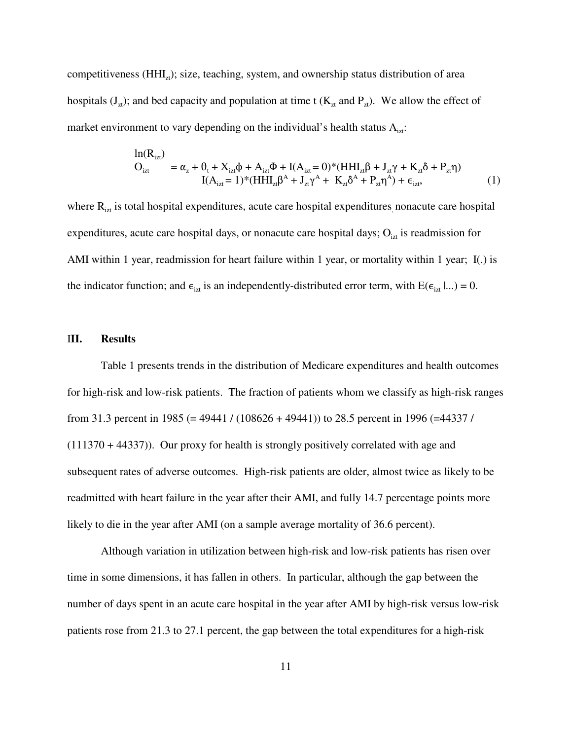competitiveness  $(HHI<sub>zt</sub>)$ ; size, teaching, system, and ownership status distribution of area hospitals ( $J_z$ ); and bed capacity and population at time t ( $K_{zt}$  and  $P_{zt}$ ). We allow the effect of market environment to vary depending on the individual's health status  $A_{izt}$ :

$$
\begin{aligned} \ln(R_{izt}) &= \alpha_z + \theta_t + X_{izt}\phi + A_{izt}\Phi + I(A_{izt} = 0)^* (HHI_{zt}\beta + J_{zt}\gamma + K_{zt}\delta + P_{zt}\eta) \\ I(A_{izt} = 1)^* (HHI_{zt}\beta^A + J_{zt}\gamma^A + K_{zt}\delta^A + P_{zt}\eta^A) + \epsilon_{izt}, \end{aligned} \tag{1}
$$

where  $R_{iz}$  is total hospital expenditures, acute care hospital expenditures, nonacute care hospital expenditures, acute care hospital days, or nonacute care hospital days;  $O_{izt}$  is readmission for AMI within 1 year, readmission for heart failure within 1 year, or mortality within 1 year; I(.) is the indicator function; and  $\epsilon_{\text{izt}}$  is an independently-distributed error term, with  $E(\epsilon_{\text{izt}} | ...)=0$ .

#### I**II. Results**

Table 1 presents trends in the distribution of Medicare expenditures and health outcomes for high-risk and low-risk patients. The fraction of patients whom we classify as high-risk ranges from 31.3 percent in 1985 (= 49441 / (108626 + 49441)) to 28.5 percent in 1996 (=44337 / (111370 + 44337)). Our proxy for health is strongly positively correlated with age and subsequent rates of adverse outcomes. High-risk patients are older, almost twice as likely to be readmitted with heart failure in the year after their AMI, and fully 14.7 percentage points more likely to die in the year after AMI (on a sample average mortality of 36.6 percent).

Although variation in utilization between high-risk and low-risk patients has risen over time in some dimensions, it has fallen in others. In particular, although the gap between the number of days spent in an acute care hospital in the year after AMI by high-risk versus low-risk patients rose from 21.3 to 27.1 percent, the gap between the total expenditures for a high-risk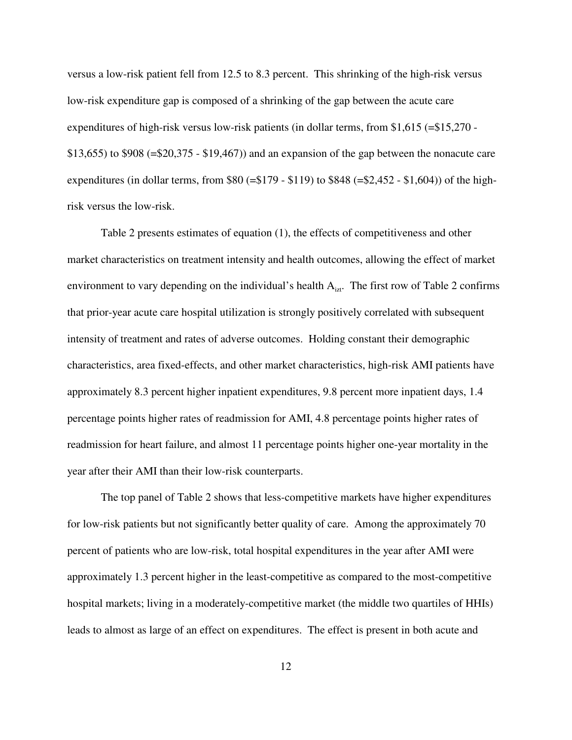versus a low-risk patient fell from 12.5 to 8.3 percent. This shrinking of the high-risk versus low-risk expenditure gap is composed of a shrinking of the gap between the acute care expenditures of high-risk versus low-risk patients (in dollar terms, from \$1,615 (=\$15,270 - \$13,655) to \$908 (=\$20,375 - \$19,467)) and an expansion of the gap between the nonacute care expenditures (in dollar terms, from  $$80$  (= $$179 - $119$ ) to  $$848$  (= $$2,452 - $1,604$ )) of the highrisk versus the low-risk.

Table 2 presents estimates of equation (1), the effects of competitiveness and other market characteristics on treatment intensity and health outcomes, allowing the effect of market environment to vary depending on the individual's health  $A_{izt}$ . The first row of Table 2 confirms that prior-year acute care hospital utilization is strongly positively correlated with subsequent intensity of treatment and rates of adverse outcomes. Holding constant their demographic characteristics, area fixed-effects, and other market characteristics, high-risk AMI patients have approximately 8.3 percent higher inpatient expenditures, 9.8 percent more inpatient days, 1.4 percentage points higher rates of readmission for AMI, 4.8 percentage points higher rates of readmission for heart failure, and almost 11 percentage points higher one-year mortality in the year after their AMI than their low-risk counterparts.

The top panel of Table 2 shows that less-competitive markets have higher expenditures for low-risk patients but not significantly better quality of care. Among the approximately 70 percent of patients who are low-risk, total hospital expenditures in the year after AMI were approximately 1.3 percent higher in the least-competitive as compared to the most-competitive hospital markets; living in a moderately-competitive market (the middle two quartiles of HHIs) leads to almost as large of an effect on expenditures. The effect is present in both acute and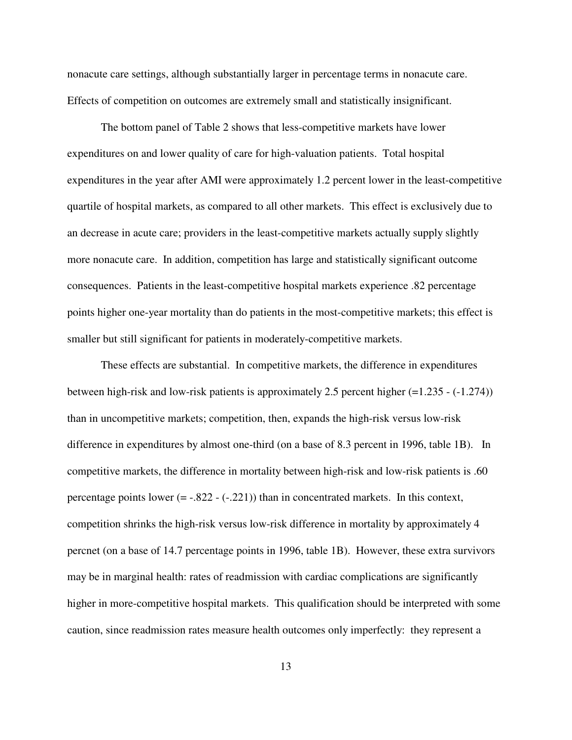nonacute care settings, although substantially larger in percentage terms in nonacute care. Effects of competition on outcomes are extremely small and statistically insignificant.

The bottom panel of Table 2 shows that less-competitive markets have lower expenditures on and lower quality of care for high-valuation patients. Total hospital expenditures in the year after AMI were approximately 1.2 percent lower in the least-competitive quartile of hospital markets, as compared to all other markets. This effect is exclusively due to an decrease in acute care; providers in the least-competitive markets actually supply slightly more nonacute care. In addition, competition has large and statistically significant outcome consequences. Patients in the least-competitive hospital markets experience .82 percentage points higher one-year mortality than do patients in the most-competitive markets; this effect is smaller but still significant for patients in moderately-competitive markets.

These effects are substantial. In competitive markets, the difference in expenditures between high-risk and low-risk patients is approximately 2.5 percent higher (=1.235 - (-1.274)) than in uncompetitive markets; competition, then, expands the high-risk versus low-risk difference in expenditures by almost one-third (on a base of 8.3 percent in 1996, table 1B). In competitive markets, the difference in mortality between high-risk and low-risk patients is .60 percentage points lower  $(=-.822 - (-.221))$  than in concentrated markets. In this context, competition shrinks the high-risk versus low-risk difference in mortality by approximately 4 percnet (on a base of 14.7 percentage points in 1996, table 1B). However, these extra survivors may be in marginal health: rates of readmission with cardiac complications are significantly higher in more-competitive hospital markets. This qualification should be interpreted with some caution, since readmission rates measure health outcomes only imperfectly: they represent a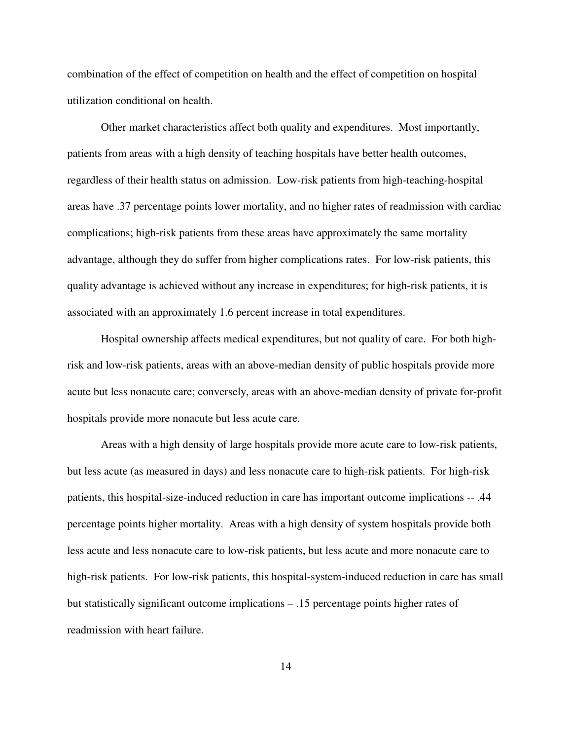combination of the effect of competition on health and the effect of competition on hospital utilization conditional on health.

Other market characteristics affect both quality and expenditures. Most importantly, patients from areas with a high density of teaching hospitals have better health outcomes, regardless of their health status on admission. Low-risk patients from high-teaching-hospital areas have .37 percentage points lower mortality, and no higher rates of readmission with cardiac complications; high-risk patients from these areas have approximately the same mortality advantage, although they do suffer from higher complications rates. For low-risk patients, this quality advantage is achieved without any increase in expenditures; for high-risk patients, it is associated with an approximately 1.6 percent increase in total expenditures.

Hospital ownership affects medical expenditures, but not quality of care. For both highrisk and low-risk patients, areas with an above-median density of public hospitals provide more acute but less nonacute care; conversely, areas with an above-median density of private for-profit hospitals provide more nonacute but less acute care.

Areas with a high density of large hospitals provide more acute care to low-risk patients, but less acute (as measured in days) and less nonacute care to high-risk patients. For high-risk patients, this hospital-size-induced reduction in care has important outcome implications -- .44 percentage points higher mortality. Areas with a high density of system hospitals provide both less acute and less nonacute care to low-risk patients, but less acute and more nonacute care to high-risk patients. For low-risk patients, this hospital-system-induced reduction in care has small but statistically significant outcome implications – .15 percentage points higher rates of readmission with heart failure.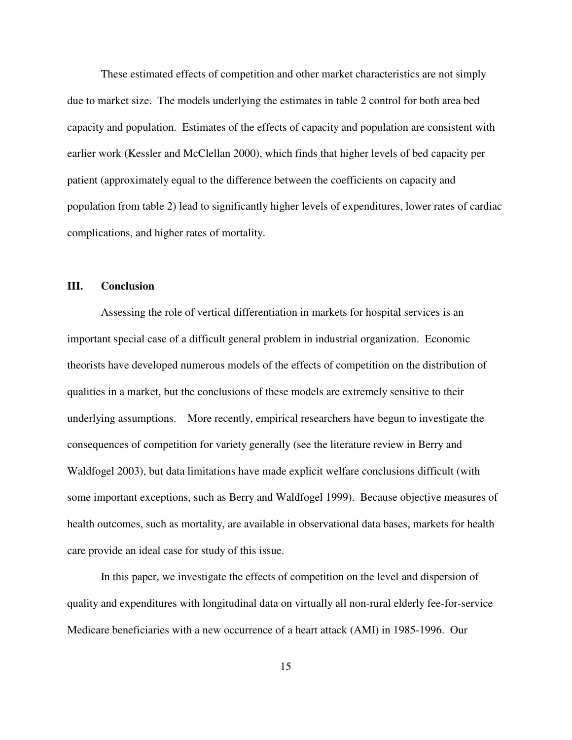These estimated effects of competition and other market characteristics are not simply due to market size. The models underlying the estimates in table 2 control for both area bed capacity and population. Estimates of the effects of capacity and population are consistent with earlier work (Kessler and McClellan 2000), which finds that higher levels of bed capacity per patient (approximately equal to the difference between the coefficients on capacity and population from table 2) lead to significantly higher levels of expenditures, lower rates of cardiac complications, and higher rates of mortality.

#### **III. Conclusion**

Assessing the role of vertical differentiation in markets for hospital services is an important special case of a difficult general problem in industrial organization. Economic theorists have developed numerous models of the effects of competition on the distribution of qualities in a market, but the conclusions of these models are extremely sensitive to their underlying assumptions. More recently, empirical researchers have begun to investigate the consequences of competition for variety generally (see the literature review in Berry and Waldfogel 2003), but data limitations have made explicit welfare conclusions difficult (with some important exceptions, such as Berry and Waldfogel 1999). Because objective measures of health outcomes, such as mortality, are available in observational data bases, markets for health care provide an ideal case for study of this issue.

In this paper, we investigate the effects of competition on the level and dispersion of quality and expenditures with longitudinal data on virtually all non-rural elderly fee-for-service Medicare beneficiaries with a new occurrence of a heart attack (AMI) in 1985-1996. Our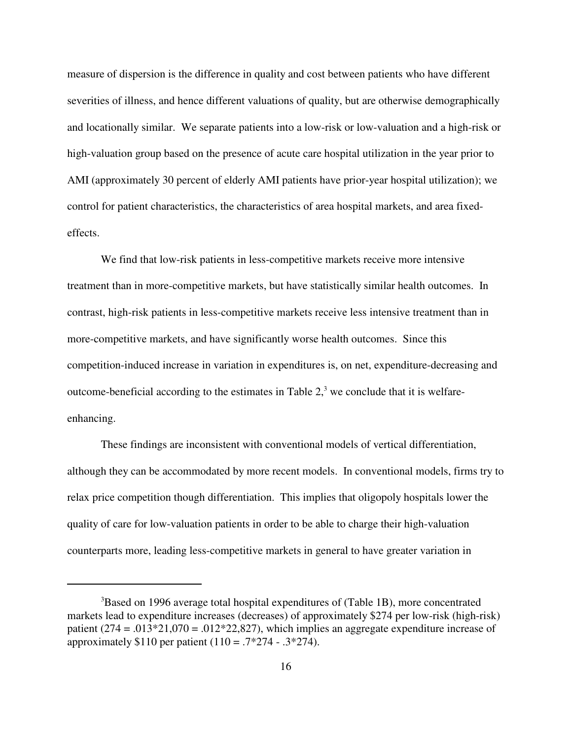measure of dispersion is the difference in quality and cost between patients who have different severities of illness, and hence different valuations of quality, but are otherwise demographically and locationally similar. We separate patients into a low-risk or low-valuation and a high-risk or high-valuation group based on the presence of acute care hospital utilization in the year prior to AMI (approximately 30 percent of elderly AMI patients have prior-year hospital utilization); we control for patient characteristics, the characteristics of area hospital markets, and area fixedeffects.

We find that low-risk patients in less-competitive markets receive more intensive treatment than in more-competitive markets, but have statistically similar health outcomes. In contrast, high-risk patients in less-competitive markets receive less intensive treatment than in more-competitive markets, and have significantly worse health outcomes. Since this competition-induced increase in variation in expenditures is, on net, expenditure-decreasing and outcome-beneficial according to the estimates in Table  $2<sup>3</sup>$ , we conclude that it is welfareenhancing.

These findings are inconsistent with conventional models of vertical differentiation, although they can be accommodated by more recent models. In conventional models, firms try to relax price competition though differentiation. This implies that oligopoly hospitals lower the quality of care for low-valuation patients in order to be able to charge their high-valuation counterparts more, leading less-competitive markets in general to have greater variation in

<sup>&</sup>lt;sup>3</sup>Based on 1996 average total hospital expenditures of (Table 1B), more concentrated markets lead to expenditure increases (decreases) of approximately \$274 per low-risk (high-risk) patient  $(274 = .013*21,070 = .012*22,827)$ , which implies an aggregate expenditure increase of approximately \$110 per patient  $(110 = .7 * 274 - .3 * 274)$ .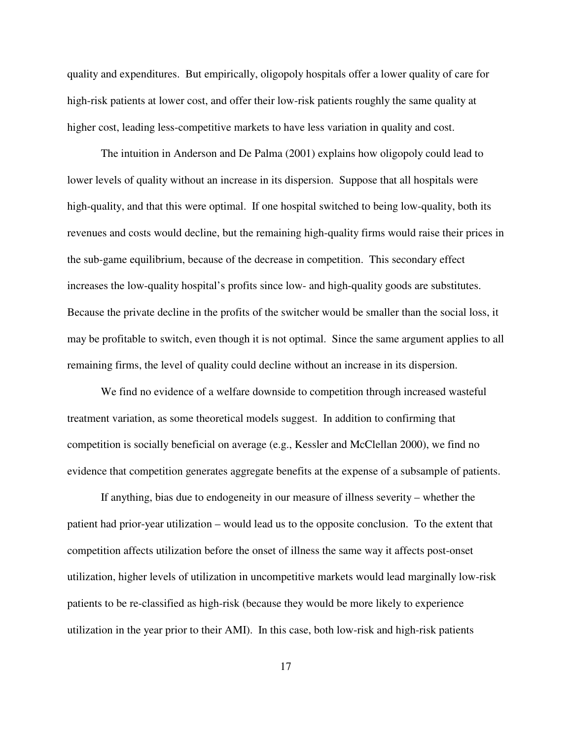quality and expenditures. But empirically, oligopoly hospitals offer a lower quality of care for high-risk patients at lower cost, and offer their low-risk patients roughly the same quality at higher cost, leading less-competitive markets to have less variation in quality and cost.

The intuition in Anderson and De Palma (2001) explains how oligopoly could lead to lower levels of quality without an increase in its dispersion. Suppose that all hospitals were high-quality, and that this were optimal. If one hospital switched to being low-quality, both its revenues and costs would decline, but the remaining high-quality firms would raise their prices in the sub-game equilibrium, because of the decrease in competition. This secondary effect increases the low-quality hospital's profits since low- and high-quality goods are substitutes. Because the private decline in the profits of the switcher would be smaller than the social loss, it may be profitable to switch, even though it is not optimal. Since the same argument applies to all remaining firms, the level of quality could decline without an increase in its dispersion.

We find no evidence of a welfare downside to competition through increased wasteful treatment variation, as some theoretical models suggest. In addition to confirming that competition is socially beneficial on average (e.g., Kessler and McClellan 2000), we find no evidence that competition generates aggregate benefits at the expense of a subsample of patients.

If anything, bias due to endogeneity in our measure of illness severity – whether the patient had prior-year utilization – would lead us to the opposite conclusion. To the extent that competition affects utilization before the onset of illness the same way it affects post-onset utilization, higher levels of utilization in uncompetitive markets would lead marginally low-risk patients to be re-classified as high-risk (because they would be more likely to experience utilization in the year prior to their AMI). In this case, both low-risk and high-risk patients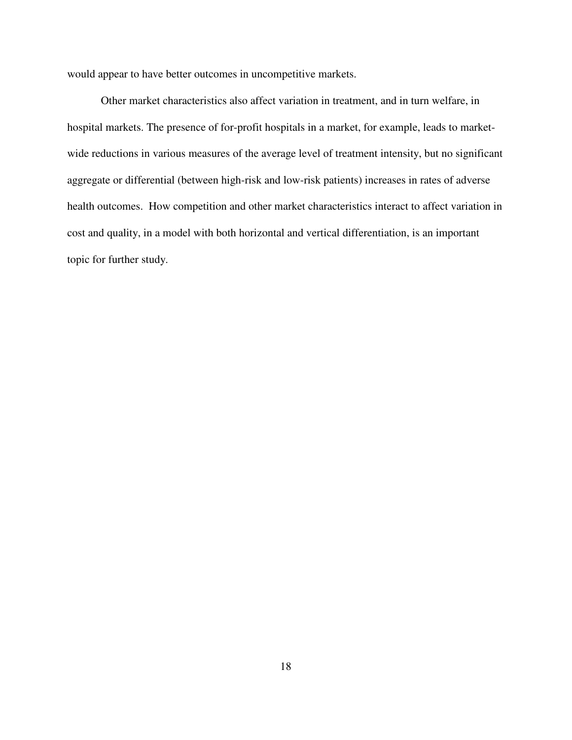would appear to have better outcomes in uncompetitive markets.

Other market characteristics also affect variation in treatment, and in turn welfare, in hospital markets. The presence of for-profit hospitals in a market, for example, leads to marketwide reductions in various measures of the average level of treatment intensity, but no significant aggregate or differential (between high-risk and low-risk patients) increases in rates of adverse health outcomes. How competition and other market characteristics interact to affect variation in cost and quality, in a model with both horizontal and vertical differentiation, is an important topic for further study.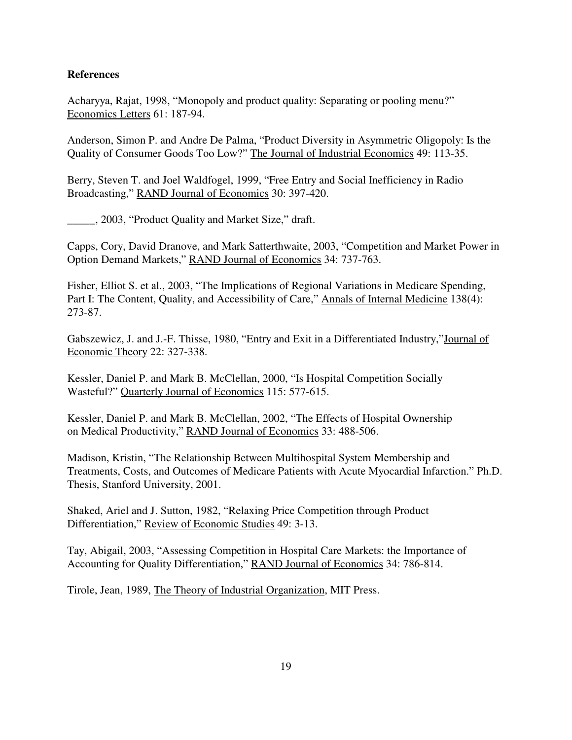## **References**

Acharyya, Rajat, 1998, "Monopoly and product quality: Separating or pooling menu?" Economics Letters 61: 187-94.

Anderson, Simon P. and Andre De Palma, "Product Diversity in Asymmetric Oligopoly: Is the Quality of Consumer Goods Too Low?" The Journal of Industrial Economics 49: 113-35.

Berry, Steven T. and Joel Waldfogel, 1999, "Free Entry and Social Inefficiency in Radio Broadcasting," RAND Journal of Economics 30: 397-420.

\_\_\_\_\_, 2003, "Product Quality and Market Size," draft.

Capps, Cory, David Dranove, and Mark Satterthwaite, 2003, "Competition and Market Power in Option Demand Markets," RAND Journal of Economics 34: 737-763.

Fisher, Elliot S. et al., 2003, "The Implications of Regional Variations in Medicare Spending, Part I: The Content, Quality, and Accessibility of Care," Annals of Internal Medicine 138(4): 273-87.

Gabszewicz, J. and J.-F. Thisse, 1980, "Entry and Exit in a Differentiated Industry,"Journal of Economic Theory 22: 327-338.

Kessler, Daniel P. and Mark B. McClellan, 2000, "Is Hospital Competition Socially Wasteful?" Quarterly Journal of Economics 115: 577-615.

Kessler, Daniel P. and Mark B. McClellan, 2002, "The Effects of Hospital Ownership on Medical Productivity," RAND Journal of Economics 33: 488-506.

Madison, Kristin, "The Relationship Between Multihospital System Membership and Treatments, Costs, and Outcomes of Medicare Patients with Acute Myocardial Infarction." Ph.D. Thesis, Stanford University, 2001.

Shaked, Ariel and J. Sutton, 1982, "Relaxing Price Competition through Product Differentiation," Review of Economic Studies 49: 3-13.

Tay, Abigail, 2003, "Assessing Competition in Hospital Care Markets: the Importance of Accounting for Quality Differentiation," RAND Journal of Economics 34: 786-814.

Tirole, Jean, 1989, The Theory of Industrial Organization, MIT Press.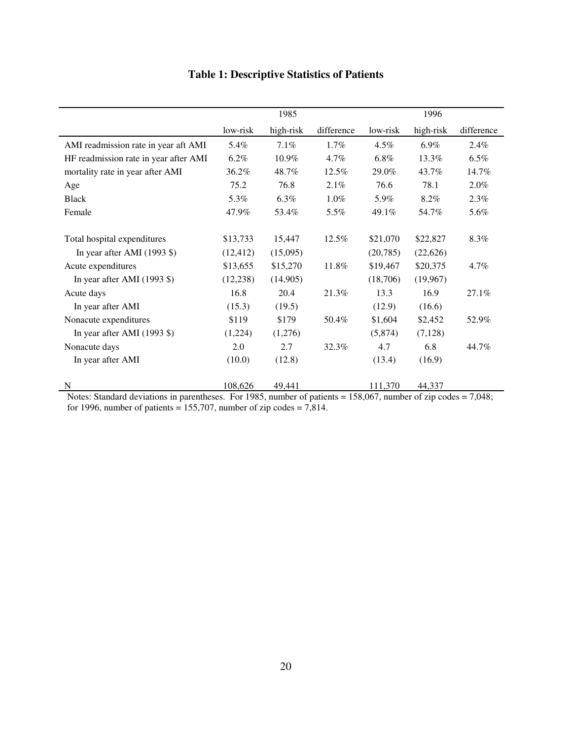|                                               |           | 1985      |            | 1996      |           |            |  |
|-----------------------------------------------|-----------|-----------|------------|-----------|-----------|------------|--|
|                                               | low-risk  | high-risk | difference | low-risk  | high-risk | difference |  |
| AMI readmission rate in year aft AMI          | 5.4%      | 7.1%      | $1.7\%$    | 4.5%      | 6.9%      | 2.4%       |  |
| HF readmission rate in year after AMI         | $6.2\%$   | 10.9%     | $4.7\%$    | $6.8\%$   | 13.3%     | $6.5\%$    |  |
| mortality rate in year after AMI              | 36.2%     | 48.7%     | 12.5%      | 29.0%     | 43.7%     | 14.7%      |  |
| Age                                           | 75.2      | 76.8      | 2.1%       | 76.6      | 78.1      | 2.0%       |  |
| <b>Black</b>                                  | 5.3%      | $6.3\%$   | $1.0\%$    | 5.9%      | 8.2%      | $2.3\%$    |  |
| Female                                        | 47.9%     | 53.4%     | 5.5%       | 49.1%     | 54.7%     | 5.6%       |  |
| Total hospital expenditures                   | \$13,733  | 15,447    | 12.5%      | \$21,070  | \$22,827  | 8.3%       |  |
| In year after AMI $(1993 \text{ } \text{\$})$ | (12, 412) | (15,095)  |            | (20, 785) | (22,626)  |            |  |
| Acute expenditures                            | \$13,655  | \$15,270  | 11.8%      | \$19,467  | \$20,375  | $4.7\%$    |  |
| In year after AMI $(1993 \text{ } \text{\$})$ | (12, 238) | (14,905)  |            | (18,706)  | (19,967)  |            |  |
| Acute days                                    | 16.8      | 20.4      | 21.3%      | 13.3      | 16.9      | 27.1%      |  |
| In year after AMI                             | (15.3)    | (19.5)    |            | (12.9)    | (16.6)    |            |  |
| Nonacute expenditures                         | \$119     | \$179     | 50.4%      | \$1,604   | \$2,452   | 52.9%      |  |
| In year after AMI $(1993 \text{ } \text{\$})$ | (1,224)   | (1,276)   |            | (5,874)   | (7, 128)  |            |  |
| Nonacute days                                 | 2.0       | 2.7       | 32.3%      | 4.7       | 6.8       | 44.7%      |  |
| In year after AMI                             | (10.0)    | (12.8)    |            | (13.4)    | (16.9)    |            |  |
| N                                             | 108,626   | 49,441    |            | 111,370   | 44,337    |            |  |

# **Table 1: Descriptive Statistics of Patients**

Notes: Standard deviations in parentheses. For 1985, number of patients = 158,067, number of zip codes = 7,048; for 1996, number of patients =  $155,707$ , number of zip codes =  $7,814$ .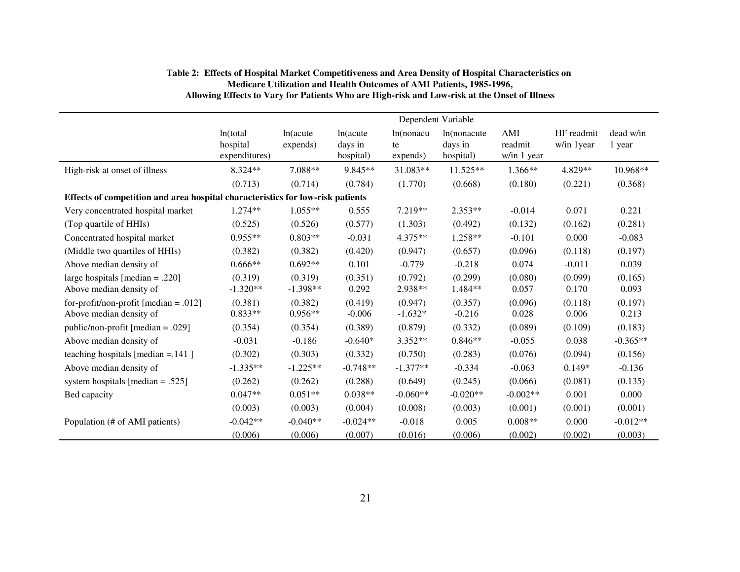|                                                                                | Dependent Variable                    |                       |                                  |                             |                                      |                               |                           |                     |  |
|--------------------------------------------------------------------------------|---------------------------------------|-----------------------|----------------------------------|-----------------------------|--------------------------------------|-------------------------------|---------------------------|---------------------|--|
|                                                                                | ln(total<br>hospital<br>expenditures) | ln(acute<br>expends)  | ln(acute<br>days in<br>hospital) | ln(nonacu<br>te<br>expends) | In(nonacute)<br>days in<br>hospital) | AMI<br>readmit<br>w/in 1 year | HF readmit<br>w/in 1 year | dead w/in<br>1 year |  |
| High-risk at onset of illness                                                  | 8.324**                               | 7.088**               | $9.845**$                        | 31.083**                    | $11.525**$                           | $1.366**$                     | 4.829**                   | 10.968**            |  |
|                                                                                | (0.713)                               | (0.714)               | (0.784)                          | (1.770)                     | (0.668)                              | (0.180)                       | (0.221)                   | (0.368)             |  |
| Effects of competition and area hospital characteristics for low-risk patients |                                       |                       |                                  |                             |                                      |                               |                           |                     |  |
| Very concentrated hospital market                                              | $1.274**$                             | $1.055**$             | 0.555                            | 7.219**                     | $2.353**$                            | $-0.014$                      | 0.071                     | 0.221               |  |
| (Top quartile of HHIs)                                                         | (0.525)                               | (0.526)               | (0.577)                          | (1.303)                     | (0.492)                              | (0.132)                       | (0.162)                   | (0.281)             |  |
| Concentrated hospital market                                                   | $0.955**$                             | $0.803**$             | $-0.031$                         | $4.375**$                   | 1.258**                              | $-0.101$                      | 0.000                     | $-0.083$            |  |
| (Middle two quartiles of HHIs)                                                 | (0.382)                               | (0.382)               | (0.420)                          | (0.947)                     | (0.657)                              | (0.096)                       | (0.118)                   | (0.197)             |  |
| Above median density of                                                        | $0.666**$                             | $0.692**$             | 0.101                            | $-0.779$                    | $-0.218$                             | 0.074                         | $-0.011$                  | 0.039               |  |
| large hospitals [median $= .220$ ]<br>Above median density of                  | (0.319)<br>$-1.320**$                 | (0.319)<br>$-1.398**$ | (0.351)<br>0.292                 | (0.792)<br>2.938**          | (0.299)<br>1.484**                   | (0.080)<br>0.057              | (0.099)<br>0.170          | (0.165)<br>0.093    |  |
| for-profit/non-profit [median = .012]<br>Above median density of               | (0.381)<br>$0.833**$                  | (0.382)<br>$0.956**$  | (0.419)<br>$-0.006$              | (0.947)<br>$-1.632*$        | (0.357)<br>$-0.216$                  | (0.096)<br>0.028              | (0.118)<br>0.006          | (0.197)<br>0.213    |  |
| public/non-profit [median = .029]                                              | (0.354)                               | (0.354)               | (0.389)                          | (0.879)                     | (0.332)                              | (0.089)                       | (0.109)                   | (0.183)             |  |
| Above median density of                                                        | $-0.031$                              | $-0.186$              | $-0.640*$                        | $3.352**$                   | $0.846**$                            | $-0.055$                      | 0.038                     | $-0.365**$          |  |
| teaching hospitals [median $= 141$ ]                                           | (0.302)                               | (0.303)               | (0.332)                          | (0.750)                     | (0.283)                              | (0.076)                       | (0.094)                   | (0.156)             |  |
| Above median density of                                                        | $-1.335**$                            | $-1.225**$            | $-0.748**$                       | $-1.377**$                  | $-0.334$                             | $-0.063$                      | $0.149*$                  | $-0.136$            |  |
| system hospitals [median = .525]                                               | (0.262)                               | (0.262)               | (0.288)                          | (0.649)                     | (0.245)                              | (0.066)                       | (0.081)                   | (0.135)             |  |
| Bed capacity                                                                   | $0.047**$                             | $0.051**$             | $0.038**$                        | $-0.060**$                  | $-0.020**$                           | $-0.002**$                    | 0.001                     | 0.000               |  |
|                                                                                | (0.003)                               | (0.003)               | (0.004)                          | (0.008)                     | (0.003)                              | (0.001)                       | (0.001)                   | (0.001)             |  |
| Population (# of AMI patients)                                                 | $-0.042**$                            | $-0.040**$            | $-0.024**$                       | $-0.018$                    | 0.005                                | $0.008**$                     | 0.000                     | $-0.012**$          |  |
|                                                                                | (0.006)                               | (0.006)               | (0.007)                          | (0.016)                     | (0.006)                              | (0.002)                       | (0.002)                   | (0.003)             |  |

#### **Table 2: Effects of Hospital Market Competitiveness and Area Density of Hospital Characteristics on Medicare Utilization and Health Outcomes of AMI Patients, 1985-1996, Allowing Effects to Vary for Patients Who are High-risk and Low-risk at the Onset of Illness**